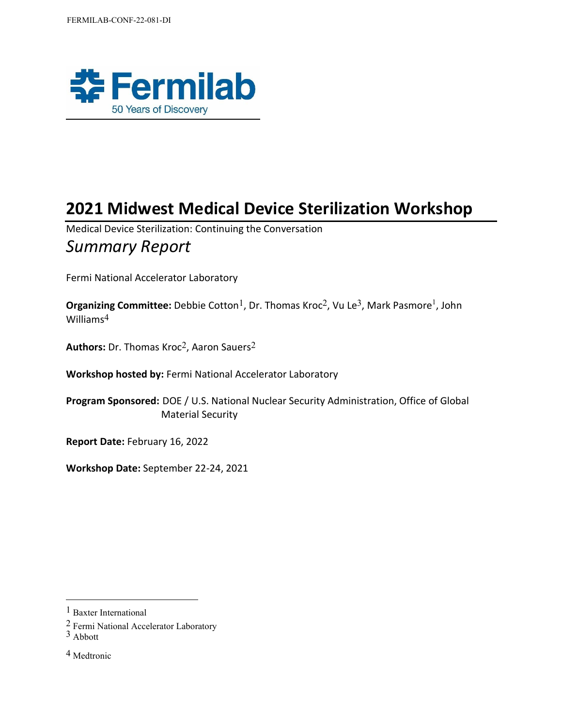

# **2021 Midwest Medical Device Sterilization Workshop**

Medical Device Sterilization: Continuing the Conversation

## *Summary Report*

Fermi National Accelerator Laboratory

**Organizing Committee:** Debbie Cotton<sup>1</sup>, Dr. Thomas Kroc<sup>2</sup>, Vu Le<sup>3</sup>, Mark Pasmore<sup>1</sup>, John Williams4

Authors: Dr. Thomas Kroc<sup>2</sup>, Aaron Sauers<sup>2</sup>

**Workshop hosted by:** Fermi National Accelerator Laboratory

**Program Sponsored:** DOE / U.S. National Nuclear Security Administration, Office of Global Material Security

**Report Date:** February 16, 2022

**Workshop Date:** September 22-24, 2021

<sup>1</sup> Baxter International

<sup>2</sup> Fermi National Accelerator Laboratory

<sup>3</sup> Abbott

<sup>4</sup> Medtronic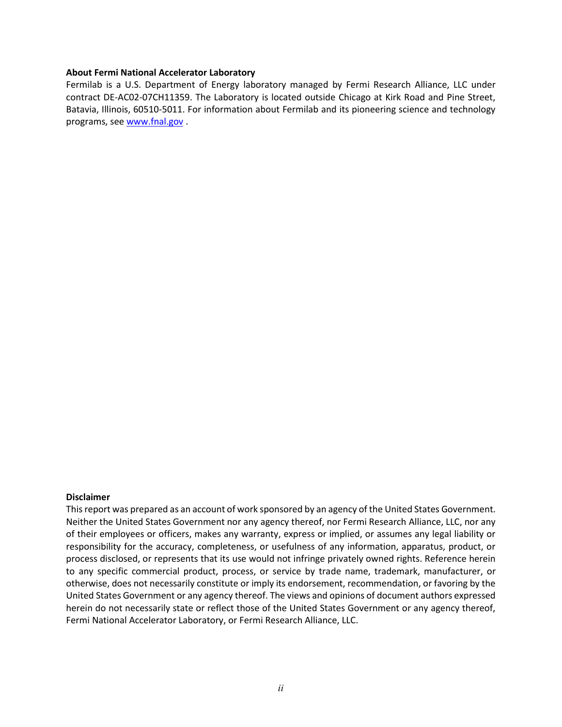#### **About Fermi National Accelerator Laboratory**

Fermilab is a U.S. Department of Energy laboratory managed by Fermi Research Alliance, LLC under contract DE-AC02-07CH11359. The Laboratory is located outside Chicago at Kirk Road and Pine Street, Batavia, Illinois, 60510-5011. For information about Fermilab and its pioneering science and technology programs, see [www.fnal.gov](http://www.fnal.gov/) .

#### **Disclaimer**

This report was prepared as an account of work sponsored by an agency of the United States Government. Neither the United States Government nor any agency thereof, nor Fermi Research Alliance, LLC, nor any of their employees or officers, makes any warranty, express or implied, or assumes any legal liability or responsibility for the accuracy, completeness, or usefulness of any information, apparatus, product, or process disclosed, or represents that its use would not infringe privately owned rights. Reference herein to any specific commercial product, process, or service by trade name, trademark, manufacturer, or otherwise, does not necessarily constitute or imply its endorsement, recommendation, or favoring by the United States Government or any agency thereof. The views and opinions of document authors expressed herein do not necessarily state or reflect those of the United States Government or any agency thereof, Fermi National Accelerator Laboratory, or Fermi Research Alliance, LLC.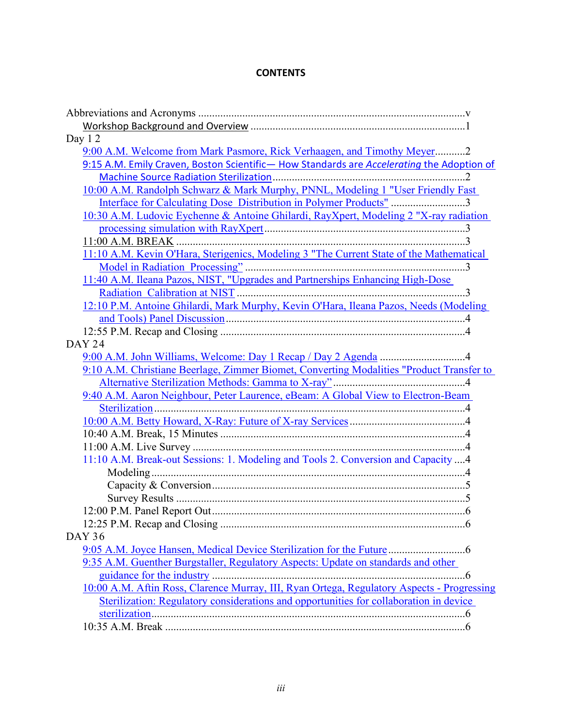## **CONTENTS**

| Day 12                                                                                     |
|--------------------------------------------------------------------------------------------|
| 9:00 A.M. Welcome from Mark Pasmore, Rick Verhaagen, and Timothy Meyer2                    |
| 9:15 A.M. Emily Craven, Boston Scientific-How Standards are Accelerating the Adoption of   |
|                                                                                            |
| 10:00 A.M. Randolph Schwarz & Mark Murphy, PNNL, Modeling 1 "User Friendly Fast            |
| Interface for Calculating Dose Distribution in Polymer Products" 3                         |
| 10:30 A.M. Ludovic Eychenne & Antoine Ghilardi, RayXpert, Modeling 2 "X-ray radiation      |
|                                                                                            |
|                                                                                            |
| 11:10 A.M. Kevin O'Hara, Sterigenics, Modeling 3 "The Current State of the Mathematical    |
|                                                                                            |
| 11:40 A.M. Ileana Pazos, NIST, "Upgrades and Partnerships Enhancing High-Dose              |
|                                                                                            |
| 12:10 P.M. Antoine Ghilardi, Mark Murphy, Kevin O'Hara, Ileana Pazos, Needs (Modeling      |
|                                                                                            |
|                                                                                            |
| <b>DAY 24</b>                                                                              |
|                                                                                            |
| 9:10 A.M. Christiane Beerlage, Zimmer Biomet, Converting Modalities "Product Transfer to   |
|                                                                                            |
| 9:40 A.M. Aaron Neighbour, Peter Laurence, eBeam: A Global View to Electron-Beam           |
|                                                                                            |
|                                                                                            |
|                                                                                            |
|                                                                                            |
| 11:10 A.M. Break-out Sessions: 1. Modeling and Tools 2. Conversion and Capacity  4         |
|                                                                                            |
|                                                                                            |
|                                                                                            |
|                                                                                            |
|                                                                                            |
| <b>DAY 36</b>                                                                              |
|                                                                                            |
| 9:35 A.M. Guenther Burgstaller, Regulatory Aspects: Update on standards and other          |
|                                                                                            |
| 10:00 A.M. Aftin Ross, Clarence Murray, III, Ryan Ortega, Regulatory Aspects - Progressing |
| Sterilization: Regulatory considerations and opportunities for collaboration in device     |
|                                                                                            |
|                                                                                            |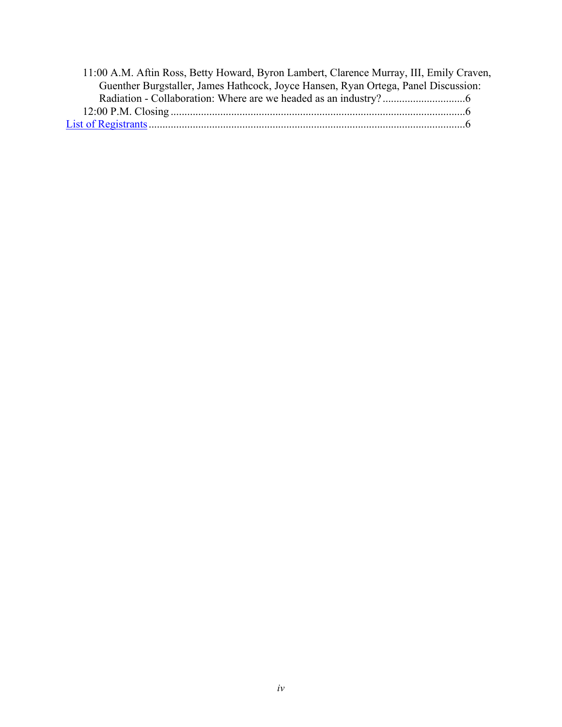| 11:00 A.M. Aftin Ross, Betty Howard, Byron Lambert, Clarence Murray, III, Emily Craven, |  |
|-----------------------------------------------------------------------------------------|--|
| Guenther Burgstaller, James Hathcock, Joyce Hansen, Ryan Ortega, Panel Discussion:      |  |
|                                                                                         |  |
|                                                                                         |  |
|                                                                                         |  |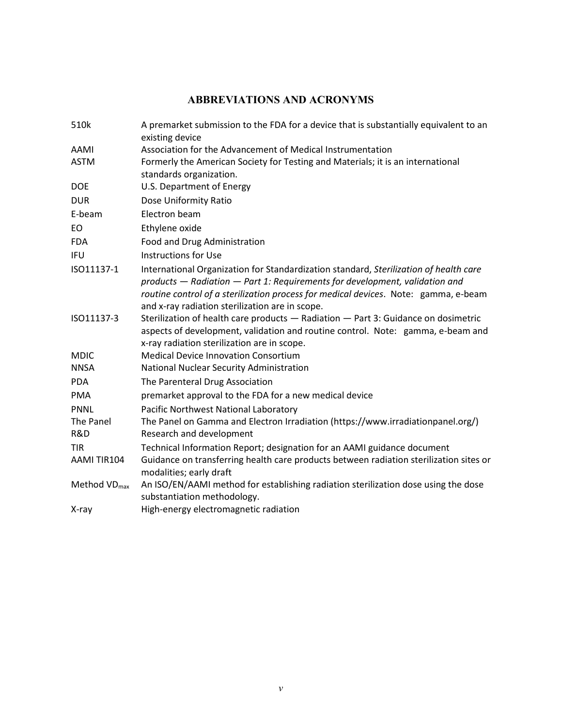## **ABBREVIATIONS AND ACRONYMS**

| 510k              | A premarket submission to the FDA for a device that is substantially equivalent to an<br>existing device                                                                                                                                                                                                       |
|-------------------|----------------------------------------------------------------------------------------------------------------------------------------------------------------------------------------------------------------------------------------------------------------------------------------------------------------|
| AAMI              | Association for the Advancement of Medical Instrumentation                                                                                                                                                                                                                                                     |
| <b>ASTM</b>       | Formerly the American Society for Testing and Materials; it is an international<br>standards organization.                                                                                                                                                                                                     |
| <b>DOE</b>        | U.S. Department of Energy                                                                                                                                                                                                                                                                                      |
| <b>DUR</b>        | Dose Uniformity Ratio                                                                                                                                                                                                                                                                                          |
| E-beam            | Electron beam                                                                                                                                                                                                                                                                                                  |
| EO.               | Ethylene oxide                                                                                                                                                                                                                                                                                                 |
| <b>FDA</b>        | Food and Drug Administration                                                                                                                                                                                                                                                                                   |
| <b>IFU</b>        | <b>Instructions for Use</b>                                                                                                                                                                                                                                                                                    |
| ISO11137-1        | International Organization for Standardization standard, Sterilization of health care<br>products - Radiation - Part 1: Requirements for development, validation and<br>routine control of a sterilization process for medical devices. Note: gamma, e-beam<br>and x-ray radiation sterilization are in scope. |
| ISO11137-3        | Sterilization of health care products - Radiation - Part 3: Guidance on dosimetric<br>aspects of development, validation and routine control. Note: gamma, e-beam and<br>x-ray radiation sterilization are in scope.                                                                                           |
| <b>MDIC</b>       | <b>Medical Device Innovation Consortium</b>                                                                                                                                                                                                                                                                    |
| <b>NNSA</b>       | National Nuclear Security Administration                                                                                                                                                                                                                                                                       |
| <b>PDA</b>        | The Parenteral Drug Association                                                                                                                                                                                                                                                                                |
| <b>PMA</b>        | premarket approval to the FDA for a new medical device                                                                                                                                                                                                                                                         |
| <b>PNNL</b>       | Pacific Northwest National Laboratory                                                                                                                                                                                                                                                                          |
| The Panel         | The Panel on Gamma and Electron Irradiation (https://www.irradiationpanel.org/)                                                                                                                                                                                                                                |
| R&D               | Research and development                                                                                                                                                                                                                                                                                       |
| <b>TIR</b>        | Technical Information Report; designation for an AAMI guidance document                                                                                                                                                                                                                                        |
| AAMI TIR104       | Guidance on transferring health care products between radiation sterilization sites or<br>modalities; early draft                                                                                                                                                                                              |
| Method $VD_{max}$ | An ISO/EN/AAMI method for establishing radiation sterilization dose using the dose<br>substantiation methodology.                                                                                                                                                                                              |
| X-ray             | High-energy electromagnetic radiation                                                                                                                                                                                                                                                                          |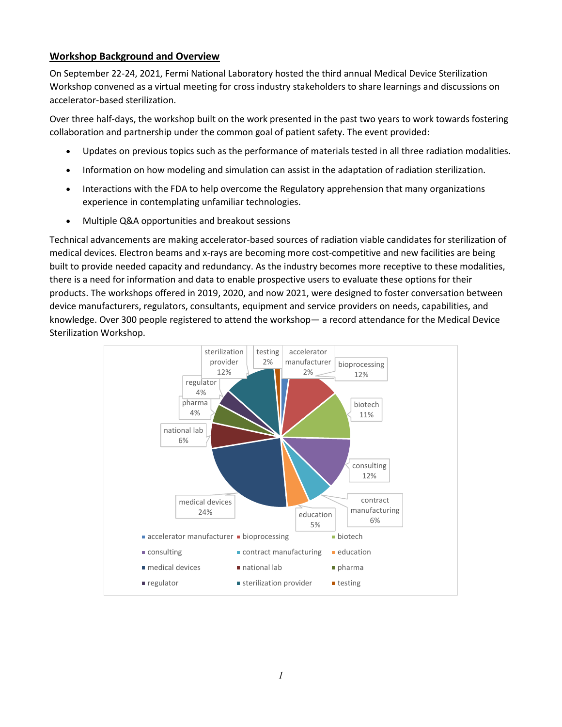#### **Workshop Background and Overview**

On September 22-24, 2021, Fermi National Laboratory hosted the third annual Medical Device Sterilization Workshop convened as a virtual meeting for cross industry stakeholders to share learnings and discussions on accelerator-based sterilization.

Over three half-days, the workshop built on the work presented in the past two years to work towards fostering collaboration and partnership under the common goal of patient safety. The event provided:

- Updates on previous topics such as the performance of materials tested in all three radiation modalities.
- Information on how modeling and simulation can assist in the adaptation of radiation sterilization.
- Interactions with the FDA to help overcome the Regulatory apprehension that many organizations experience in contemplating unfamiliar technologies.
- Multiple Q&A opportunities and breakout sessions

Technical advancements are making accelerator-based sources of radiation viable candidates for sterilization of medical devices. Electron beams and x-rays are becoming more cost-competitive and new facilities are being built to provide needed capacity and redundancy. As the industry becomes more receptive to these modalities, there is a need for information and data to enable prospective users to evaluate these options for their products. The workshops offered in 2019, 2020, and now 2021, were designed to foster conversation between device manufacturers, regulators, consultants, equipment and service providers on needs, capabilities, and knowledge. Over 300 people registered to attend the workshop— a record attendance for the Medical Device Sterilization Workshop.

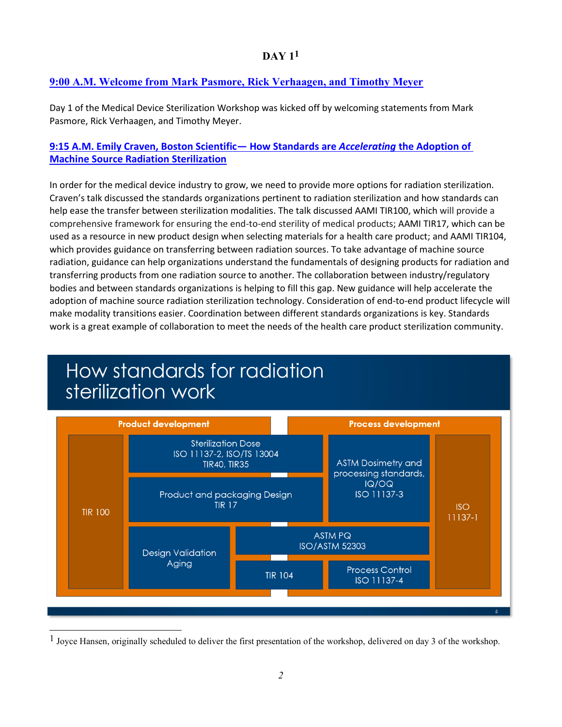#### **9:00 A.M. Welcome from Mark Pasmore, Rick Verhaagen, and Timothy Meyer**

Day 1 of the Medical Device Sterilization Workshop was kicked off by welcoming statements from Mark Pasmore, Rick Verhaagen, and Timothy Meyer.

#### **[9:15 A.M. Emily Craven, Boston Scientific](https://indico.fnal.gov/event/49747/attachments/148523/190970/210922Craven.mp4)— How Standards are** *Accelerating* **the Adoption of [Machine Source Radiation Sterilization](https://indico.fnal.gov/event/49747/attachments/148523/190970/210922Craven.mp4)**

In order for the medical device industry to grow, we need to provide more options for radiation sterilization. Craven's talk discussed the standards organizations pertinent to radiation sterilization and how standards can help ease the transfer between sterilization modalities. The talk discussed AAMI TIR100, which will provide a comprehensive framework for ensuring the end-to-end sterility of medical products; AAMI TIR17, which can be used as a resource in new product design when selecting materials for a health care product; and AAMI TIR104, which provides guidance on transferring between radiation sources. To take advantage of machine source radiation, guidance can help organizations understand the fundamentals of designing products for radiation and transferring products from one radiation source to another. The collaboration between industry/regulatory bodies and between standards organizations is helping to fill this gap. New guidance will help accelerate the adoption of machine source radiation sterilization technology. Consideration of end-to-end product lifecycle will make modality transitions easier. Coordination between different standards organizations is key. Standards work is a great example of collaboration to meet the needs of the health care product sterilization community.



<sup>&</sup>lt;sup>1</sup> Joyce Hansen, originally scheduled to deliver the first presentation of the workshop, delivered on day 3 of the workshop.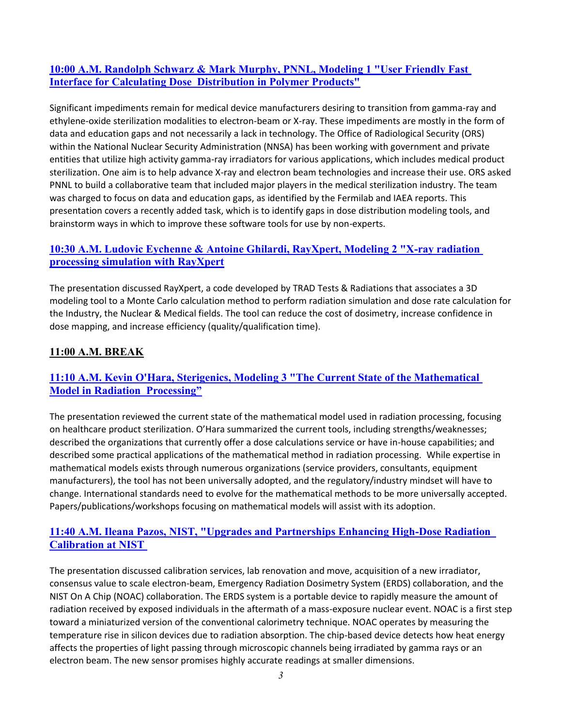#### **[10:00 A.M. Randolph Schwarz & Mark Murphy, PNNL, Modeling 1 "User Friendly Fast](https://indico.fnal.gov/event/49747/attachments/148523/190855/210922SchwarzMurphy_rev211018_cmp.mp4)  [Interface for Calculating Dose Distribution in Polymer Products"](https://indico.fnal.gov/event/49747/attachments/148523/190855/210922SchwarzMurphy_rev211018_cmp.mp4)**

Significant impediments remain for medical device manufacturers desiring to transition from gamma-ray and ethylene-oxide sterilization modalities to electron-beam or X-ray. These impediments are mostly in the form of data and education gaps and not necessarily a lack in technology. The Office of Radiological Security (ORS) within the National Nuclear Security Administration (NNSA) has been working with government and private entities that utilize high activity gamma-ray irradiators for various applications, which includes medical product sterilization. One aim is to help advance X-ray and electron beam technologies and increase their use. ORS asked PNNL to build a collaborative team that included major players in the medical sterilization industry. The team was charged to focus on data and education gaps, as identified by the Fermilab and IAEA reports. This presentation covers a recently added task, which is to identify gaps in dose distribution modeling tools, and brainstorm ways in which to improve these software tools for use by non-experts.

#### **[10:30 A.M. Ludovic Eychenne & Antoine Ghilardi, RayXpert, Modeling 2 "X-ray radiation](https://indico.fnal.gov/event/49747/attachments/148523/190846/210922EychenneGhilardi_rev211018_cmp.mp4)  [processing simulation with RayXpert](https://indico.fnal.gov/event/49747/attachments/148523/190846/210922EychenneGhilardi_rev211018_cmp.mp4)**

The presentation discussed RayXpert, a code developed by TRAD Tests & Radiations that associates a 3D modeling tool to a Monte Carlo calculation method to perform radiation simulation and dose rate calculation for the Industry, the Nuclear & Medical fields. The tool can reduce the cost of dosimetry, increase confidence in dose mapping, and increase efficiency (quality/qualification time).

#### **11:00 A.M. BREAK**

#### **[11:10 A.M. Kevin O'Hara, Sterigenics, Modeling 3 "The Current State of the Mathematical](https://indico.fnal.gov/event/49747/attachments/148523/190847/210922Ohara_rev211018_cmp.mp4)  [Model in Radiation Processing"](https://indico.fnal.gov/event/49747/attachments/148523/190847/210922Ohara_rev211018_cmp.mp4)**

The presentation reviewed the current state of the mathematical model used in radiation processing, focusing on healthcare product sterilization. O'Hara summarized the current tools, including strengths/weaknesses; described the organizations that currently offer a dose calculations service or have in-house capabilities; and described some practical applications of the mathematical method in radiation processing. While expertise in mathematical models exists through numerous organizations (service providers, consultants, equipment manufacturers), the tool has not been universally adopted, and the regulatory/industry mindset will have to change. International standards need to evolve for the mathematical methods to be more universally accepted. Papers/publications/workshops focusing on mathematical models will assist with its adoption.

#### **11:40 A.M. [Ileana Pazos, NIST, "Upgrades and Partnerships Enhancing High-Dose Radiation](https://indico.fnal.gov/event/49747/attachments/148522/190836/IleanaPazos-MedicalDeviceSter_2021.pdf)  [Calibration at NIST](https://indico.fnal.gov/event/49747/attachments/148522/190836/IleanaPazos-MedicalDeviceSter_2021.pdf)**

The presentation discussed calibration services, lab renovation and move, acquisition of a new irradiator, consensus value to scale electron-beam, Emergency Radiation Dosimetry System (ERDS) collaboration, and the NIST On A Chip (NOAC) collaboration. The ERDS system is a portable device to rapidly measure the amount of radiation received by exposed individuals in the aftermath of a mass-exposure nuclear event. NOAC is a first step toward a miniaturized version of the conventional calorimetry technique. NOAC operates by measuring the temperature rise in silicon devices due to radiation absorption. The chip-based device detects how heat energy affects the properties of light passing through microscopic channels being irradiated by gamma rays or an electron beam. The new sensor promises highly accurate readings at smaller dimensions.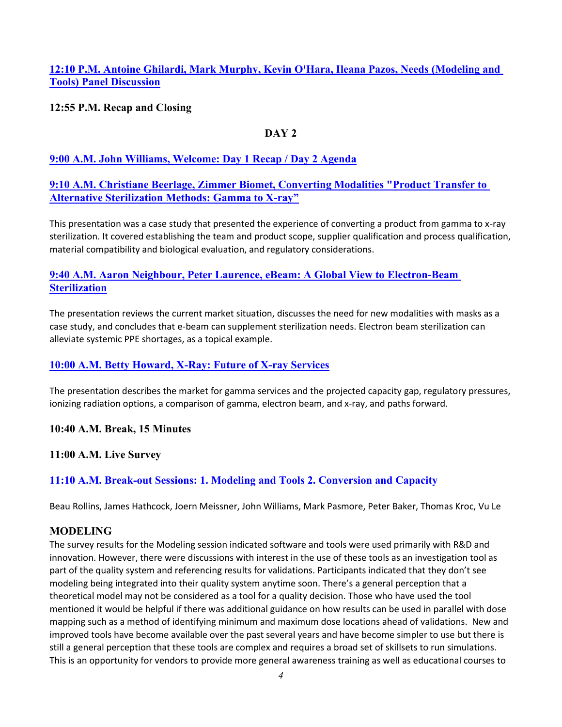#### **12:10 P.M. Antoine Ghilardi, Mark Murphy, Kevin O'Hara, Ileana Pazos, Needs (Modeling and Tools) Panel Discussion**

#### **12:55 P.M. Recap and Closing**

#### **DAY 2**

#### **[9:00 A.M. John Williams, Welcome: Day 1 Recap / Day 2 Agenda](https://indico.fnal.gov/event/49747/attachments/148523/190848/210923Beerlage_cmp.mp4)**

#### **[9:10 A.M. Christiane Beerlage, Zimmer Biomet, Converting Modalities "Product Transfer to](https://indico.fnal.gov/event/49747/attachments/148523/190848/210923Beerlage_cmp.mp4)  [Alternative Sterilization Methods: Gamma to X-ray"](https://indico.fnal.gov/event/49747/attachments/148523/190848/210923Beerlage_cmp.mp4)**

This presentation was a case study that presented the experience of converting a product from gamma to x-ray sterilization. It covered establishing the team and product scope, supplier qualification and process qualification, material compatibility and biological evaluation, and regulatory considerations.

#### **[9:40 A.M. Aaron Neighbour, Peter Laurence, eBeam: A Global View to Electron-Beam](https://indico.fnal.gov/event/49747/attachments/148523/190850/210923LaurenceNeighbour_cmp.mp4)  [Sterilization](https://indico.fnal.gov/event/49747/attachments/148523/190850/210923LaurenceNeighbour_cmp.mp4)**

The presentation reviews the current market situation, discusses the need for new modalities with masks as a case study, and concludes that e-beam can supplement sterilization needs. Electron beam sterilization can alleviate systemic PPE shortages, as a topical example.

#### **[10:00 A.M. Betty Howard, X-Ray: Future of X-ray Services](https://indico.fnal.gov/event/49747/attachments/148523/190849/210923Howard_rev211019_cmp.mp4)**

The presentation describes the market for gamma services and the projected capacity gap, regulatory pressures, ionizing radiation options, a comparison of gamma, electron beam, and x-ray, and paths forward.

#### **10:40 A.M. Break, 15 Minutes**

**11:00 A.M. Live Survey**

#### **11:10 A.M. Break-out Sessions: 1. Modeling and Tools 2. Conversion and Capacity**

Beau Rollins, James Hathcock, Joern Meissner, John Williams, Mark Pasmore, Peter Baker, Thomas Kroc, Vu Le

#### **MODELING**

The survey results for the Modeling session indicated software and tools were used primarily with R&D and innovation. However, there were discussions with interest in the use of these tools as an investigation tool as part of the quality system and referencing results for validations. Participants indicated that they don't see modeling being integrated into their quality system anytime soon. There's a general perception that a theoretical model may not be considered as a tool for a quality decision. Those who have used the tool mentioned it would be helpful if there was additional guidance on how results can be used in parallel with dose mapping such as a method of identifying minimum and maximum dose locations ahead of validations. New and improved tools have become available over the past several years and have become simpler to use but there is still a general perception that these tools are complex and requires a broad set of skillsets to run simulations. This is an opportunity for vendors to provide more general awareness training as well as educational courses to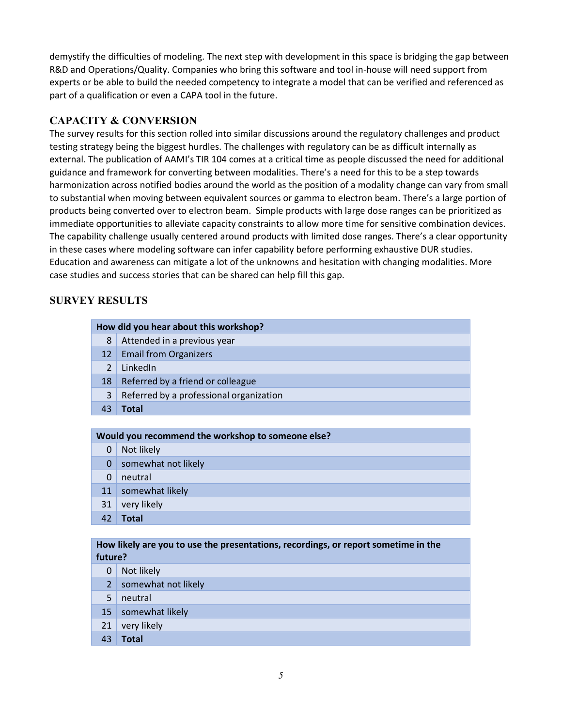demystify the difficulties of modeling. The next step with development in this space is bridging the gap between R&D and Operations/Quality. Companies who bring this software and tool in-house will need support from experts or be able to build the needed competency to integrate a model that can be verified and referenced as part of a qualification or even a CAPA tool in the future.

#### **CAPACITY & CONVERSION**

The survey results for this section rolled into similar discussions around the regulatory challenges and product testing strategy being the biggest hurdles. The challenges with regulatory can be as difficult internally as external. The publication of AAMI's TIR 104 comes at a critical time as people discussed the need for additional guidance and framework for converting between modalities. There's a need for this to be a step towards harmonization across notified bodies around the world as the position of a modality change can vary from small to substantial when moving between equivalent sources or gamma to electron beam. There's a large portion of products being converted over to electron beam. Simple products with large dose ranges can be prioritized as immediate opportunities to alleviate capacity constraints to allow more time for sensitive combination devices. The capability challenge usually centered around products with limited dose ranges. There's a clear opportunity in these cases where modeling software can infer capability before performing exhaustive DUR studies. Education and awareness can mitigate a lot of the unknowns and hesitation with changing modalities. More case studies and success stories that can be shared can help fill this gap.

#### **SURVEY RESULTS**

|               | How did you hear about this workshop?             |
|---------------|---------------------------------------------------|
|               |                                                   |
| 8             | Attended in a previous year                       |
| 12            | <b>Email from Organizers</b>                      |
| $\mathcal{L}$ | LinkedIn                                          |
| 18            | Referred by a friend or colleague                 |
| 3             | Referred by a professional organization           |
| 43            | <b>Total</b>                                      |
|               |                                                   |
|               | Would you recommend the workshop to someone else? |
|               |                                                   |
| 0             | Not likely                                        |
| $\Omega$      | somewhat not likely                               |
| $\Omega$      | neutral                                           |
| 11            | somewhat likely                                   |

42 **Total**

**How likely are you to use the presentations, recordings, or report sometime in the future?**

- 0 Not likely
- 2 somewhat not likely
- 5 neutral
- 15 somewhat likely
- 21 very likely
- 43 **Total**